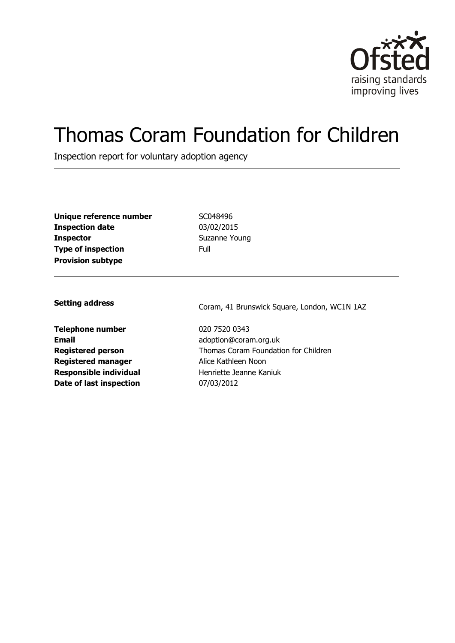

# Thomas Coram Foundation for Children

Inspection report for voluntary adoption agency

| Unique reference number   | SC(  |
|---------------------------|------|
| <b>Inspection date</b>    | 03/  |
| <b>Inspector</b>          | Suz  |
| <b>Type of inspection</b> | Full |
| <b>Provision subtype</b>  |      |

**Unique reference number** SC048496 **Inspection date** 03/02/2015 **Suzanne Young** 

**Telephone number** 020 7520 0343 **Email** adoption@coram.org.uk **Registered manager** Alice Kathleen Noon **Responsible individual** Henriette Jeanne Kaniuk **Date of last inspection** 07/03/2012

**Setting address** Coram, 41 Brunswick Square, London, WC1N 1AZ

**Registered person** Thomas Coram Foundation for Children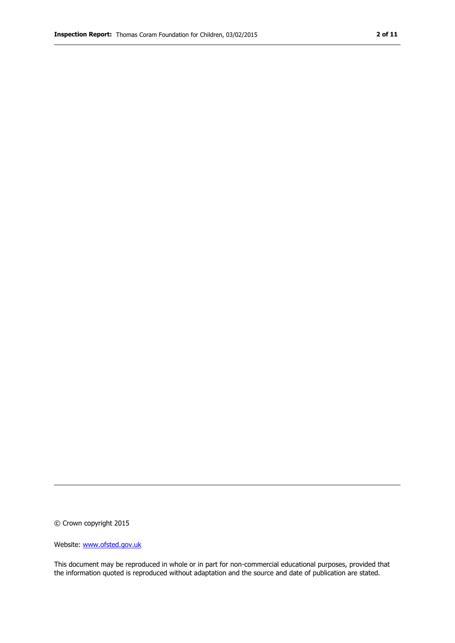© Crown copyright 2015

Website: www.ofsted.gov.uk

This document may be reproduced in whole or in part for non-commercial educational purposes, provided that the information quoted is reproduced without adaptation and the source and date of publication are stated.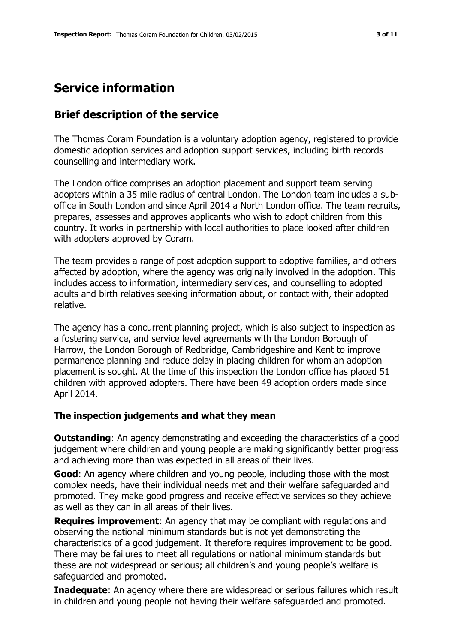## **Service information**

## **Brief description of the service**

The Thomas Coram Foundation is a voluntary adoption agency, registered to provide domestic adoption services and adoption support services, including birth records counselling and intermediary work.

The London office comprises an adoption placement and support team serving adopters within a 35 mile radius of central London. The London team includes a suboffice in South London and since April 2014 a North London office. The team recruits, prepares, assesses and approves applicants who wish to adopt children from this country. It works in partnership with local authorities to place looked after children with adopters approved by Coram.

The team provides a range of post adoption support to adoptive families, and others affected by adoption, where the agency was originally involved in the adoption. This includes access to information, intermediary services, and counselling to adopted adults and birth relatives seeking information about, or contact with, their adopted relative.

The agency has a concurrent planning project, which is also subject to inspection as a fostering service, and service level agreements with the London Borough of Harrow, the London Borough of Redbridge, Cambridgeshire and Kent to improve permanence planning and reduce delay in placing children for whom an adoption placement is sought. At the time of this inspection the London office has placed 51 children with approved adopters. There have been 49 adoption orders made since April 2014.

#### **The inspection judgements and what they mean**

**Outstanding:** An agency demonstrating and exceeding the characteristics of a good judgement where children and young people are making significantly better progress and achieving more than was expected in all areas of their lives.

**Good**: An agency where children and young people, including those with the most complex needs, have their individual needs met and their welfare safeguarded and promoted. They make good progress and receive effective services so they achieve as well as they can in all areas of their lives.

**Requires improvement**: An agency that may be compliant with regulations and observing the national minimum standards but is not yet demonstrating the characteristics of a good judgement. It therefore requires improvement to be good. There may be failures to meet all regulations or national minimum standards but these are not widespread or serious; all children's and young people's welfare is safeguarded and promoted.

**Inadequate:** An agency where there are widespread or serious failures which result in children and young people not having their welfare safeguarded and promoted.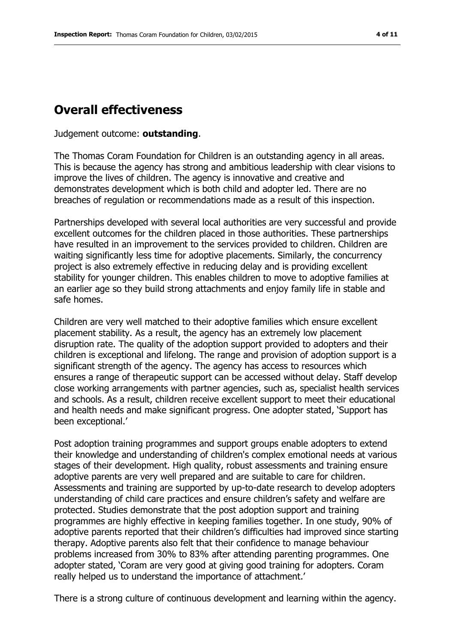## **Overall effectiveness**

Judgement outcome: **outstanding**.

The Thomas Coram Foundation for Children is an outstanding agency in all areas. This is because the agency has strong and ambitious leadership with clear visions to improve the lives of children. The agency is innovative and creative and demonstrates development which is both child and adopter led. There are no breaches of regulation or recommendations made as a result of this inspection.

Partnerships developed with several local authorities are very successful and provide excellent outcomes for the children placed in those authorities. These partnerships have resulted in an improvement to the services provided to children. Children are waiting significantly less time for adoptive placements. Similarly, the concurrency project is also extremely effective in reducing delay and is providing excellent stability for younger children. This enables children to move to adoptive families at an earlier age so they build strong attachments and enjoy family life in stable and safe homes.

Children are very well matched to their adoptive families which ensure excellent placement stability. As a result, the agency has an extremely low placement disruption rate. The quality of the adoption support provided to adopters and their children is exceptional and lifelong. The range and provision of adoption support is a significant strength of the agency. The agency has access to resources which ensures a range of therapeutic support can be accessed without delay. Staff develop close working arrangements with partner agencies, such as, specialist health services and schools. As a result, children receive excellent support to meet their educational and health needs and make significant progress. One adopter stated, 'Support has been exceptional.'

Post adoption training programmes and support groups enable adopters to extend their knowledge and understanding of children's complex emotional needs at various stages of their development. High quality, robust assessments and training ensure adoptive parents are very well prepared and are suitable to care for children. Assessments and training are supported by up-to-date research to develop adopters understanding of child care practices and ensure children's safety and welfare are protected. Studies demonstrate that the post adoption support and training programmes are highly effective in keeping families together. In one study, 90% of adoptive parents reported that their children's difficulties had improved since starting therapy. Adoptive parents also felt that their confidence to manage behaviour problems increased from 30% to 83% after attending parenting programmes. One adopter stated, 'Coram are very good at giving good training for adopters. Coram really helped us to understand the importance of attachment.'

There is a strong culture of continuous development and learning within the agency.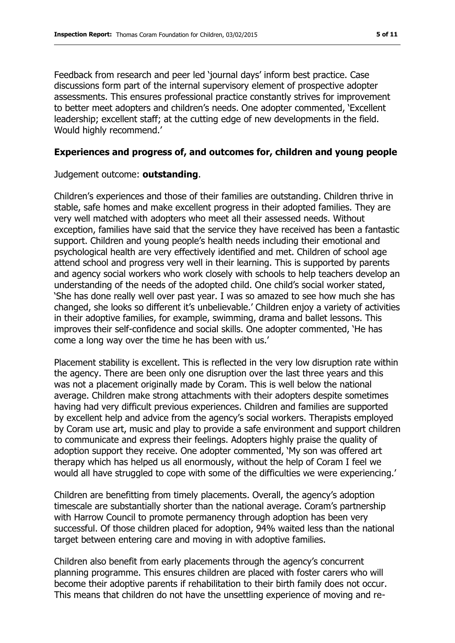Feedback from research and peer led 'journal days' inform best practice. Case discussions form part of the internal supervisory element of prospective adopter assessments. This ensures professional practice constantly strives for improvement to better meet adopters and children's needs. One adopter commented, 'Excellent leadership; excellent staff; at the cutting edge of new developments in the field. Would highly recommend.'

#### **Experiences and progress of, and outcomes for, children and young people**

Judgement outcome: **outstanding**.

Children's experiences and those of their families are outstanding. Children thrive in stable, safe homes and make excellent progress in their adopted families. They are very well matched with adopters who meet all their assessed needs. Without exception, families have said that the service they have received has been a fantastic support. Children and young people's health needs including their emotional and psychological health are very effectively identified and met. Children of school age attend school and progress very well in their learning. This is supported by parents and agency social workers who work closely with schools to help teachers develop an understanding of the needs of the adopted child. One child's social worker stated, 'She has done really well over past year. I was so amazed to see how much she has changed, she looks so different it's unbelievable.' Children enjoy a variety of activities in their adoptive families, for example, swimming, drama and ballet lessons. This improves their self-confidence and social skills. One adopter commented, 'He has come a long way over the time he has been with us.'

Placement stability is excellent. This is reflected in the very low disruption rate within the agency. There are been only one disruption over the last three years and this was not a placement originally made by Coram. This is well below the national average. Children make strong attachments with their adopters despite sometimes having had very difficult previous experiences. Children and families are supported by excellent help and advice from the agency's social workers. Therapists employed by Coram use art, music and play to provide a safe environment and support children to communicate and express their feelings. Adopters highly praise the quality of adoption support they receive. One adopter commented, 'My son was offered art therapy which has helped us all enormously, without the help of Coram I feel we would all have struggled to cope with some of the difficulties we were experiencing.'

Children are benefitting from timely placements. Overall, the agency's adoption timescale are substantially shorter than the national average. Coram's partnership with Harrow Council to promote permanency through adoption has been very successful. Of those children placed for adoption, 94% waited less than the national target between entering care and moving in with adoptive families.

Children also benefit from early placements through the agency's concurrent planning programme. This ensures children are placed with foster carers who will become their adoptive parents if rehabilitation to their birth family does not occur. This means that children do not have the unsettling experience of moving and re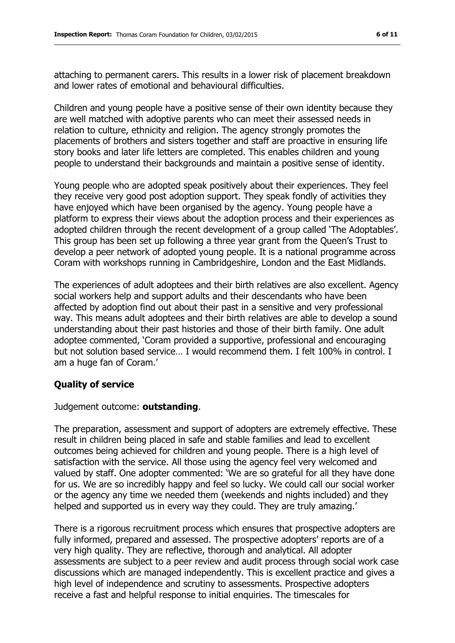attaching to permanent carers. This results in a lower risk of placement breakdown and lower rates of emotional and behavioural difficulties.

Children and young people have a positive sense of their own identity because they are well matched with adoptive parents who can meet their assessed needs in relation to culture, ethnicity and religion. The agency strongly promotes the placements of brothers and sisters together and staff are proactive in ensuring life story books and later life letters are completed. This enables children and young people to understand their backgrounds and maintain a positive sense of identity.

Young people who are adopted speak positively about their experiences. They feel they receive very good post adoption support. They speak fondly of activities they have enjoyed which have been organised by the agency. Young people have a platform to express their views about the adoption process and their experiences as adopted children through the recent development of a group called 'The Adoptables'. This group has been set up following a three year grant from the Queen's Trust to develop a peer network of adopted young people. It is a national programme across Coram with workshops running in Cambridgeshire, London and the East Midlands.

The experiences of adult adoptees and their birth relatives are also excellent. Agency social workers help and support adults and their descendants who have been affected by adoption find out about their past in a sensitive and very professional way. This means adult adoptees and their birth relatives are able to develop a sound understanding about their past histories and those of their birth family. One adult adoptee commented, 'Coram provided a supportive, professional and encouraging but not solution based service… I would recommend them. I felt 100% in control. I am a huge fan of Coram.'

#### **Quality of service**

Judgement outcome: **outstanding**.

The preparation, assessment and support of adopters are extremely effective. These result in children being placed in safe and stable families and lead to excellent outcomes being achieved for children and young people. There is a high level of satisfaction with the service. All those using the agency feel very welcomed and valued by staff. One adopter commented: 'We are so grateful for all they have done for us. We are so incredibly happy and feel so lucky. We could call our social worker or the agency any time we needed them (weekends and nights included) and they helped and supported us in every way they could. They are truly amazing.'

There is a rigorous recruitment process which ensures that prospective adopters are fully informed, prepared and assessed. The prospective adopters' reports are of a very high quality. They are reflective, thorough and analytical. All adopter assessments are subject to a peer review and audit process through social work case discussions which are managed independently. This is excellent practice and gives a high level of independence and scrutiny to assessments. Prospective adopters receive a fast and helpful response to initial enquiries. The timescales for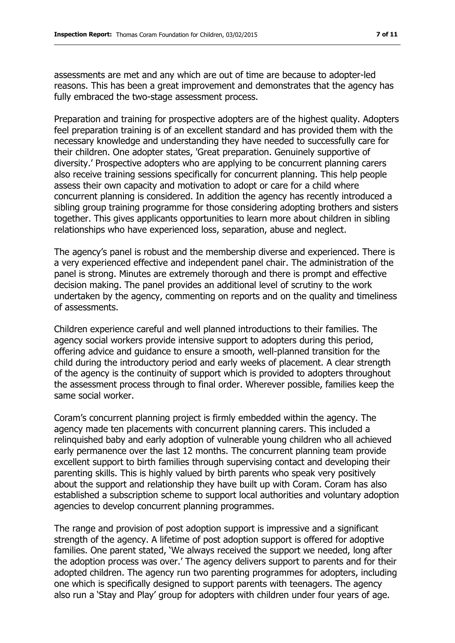assessments are met and any which are out of time are because to adopter-led reasons. This has been a great improvement and demonstrates that the agency has fully embraced the two-stage assessment process.

Preparation and training for prospective adopters are of the highest quality. Adopters feel preparation training is of an excellent standard and has provided them with the necessary knowledge and understanding they have needed to successfully care for their children. One adopter states, 'Great preparation. Genuinely supportive of diversity.' Prospective adopters who are applying to be concurrent planning carers also receive training sessions specifically for concurrent planning. This help people assess their own capacity and motivation to adopt or care for a child where concurrent planning is considered. In addition the agency has recently introduced a sibling group training programme for those considering adopting brothers and sisters together. This gives applicants opportunities to learn more about children in sibling relationships who have experienced loss, separation, abuse and neglect.

The agency's panel is robust and the membership diverse and experienced. There is a very experienced effective and independent panel chair. The administration of the panel is strong. Minutes are extremely thorough and there is prompt and effective decision making. The panel provides an additional level of scrutiny to the work undertaken by the agency, commenting on reports and on the quality and timeliness of assessments.

Children experience careful and well planned introductions to their families. The agency social workers provide intensive support to adopters during this period, offering advice and guidance to ensure a smooth, well-planned transition for the child during the introductory period and early weeks of placement. A clear strength of the agency is the continuity of support which is provided to adopters throughout the assessment process through to final order. Wherever possible, families keep the same social worker.

Coram's concurrent planning project is firmly embedded within the agency. The agency made ten placements with concurrent planning carers. This included a relinquished baby and early adoption of vulnerable young children who all achieved early permanence over the last 12 months. The concurrent planning team provide excellent support to birth families through supervising contact and developing their parenting skills. This is highly valued by birth parents who speak very positively about the support and relationship they have built up with Coram. Coram has also established a subscription scheme to support local authorities and voluntary adoption agencies to develop concurrent planning programmes.

The range and provision of post adoption support is impressive and a significant strength of the agency. A lifetime of post adoption support is offered for adoptive families. One parent stated, 'We always received the support we needed, long after the adoption process was over.' The agency delivers support to parents and for their adopted children. The agency run two parenting programmes for adopters, including one which is specifically designed to support parents with teenagers. The agency also run a 'Stay and Play' group for adopters with children under four years of age.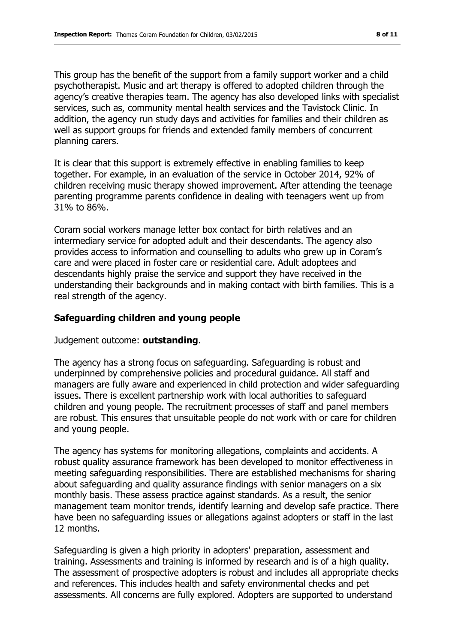This group has the benefit of the support from a family support worker and a child psychotherapist. Music and art therapy is offered to adopted children through the agency's creative therapies team. The agency has also developed links with specialist services, such as, community mental health services and the Tavistock Clinic. In addition, the agency run study days and activities for families and their children as well as support groups for friends and extended family members of concurrent planning carers.

It is clear that this support is extremely effective in enabling families to keep together. For example, in an evaluation of the service in October 2014, 92% of children receiving music therapy showed improvement. After attending the teenage parenting programme parents confidence in dealing with teenagers went up from 31% to 86%.

Coram social workers manage letter box contact for birth relatives and an intermediary service for adopted adult and their descendants. The agency also provides access to information and counselling to adults who grew up in Coram's care and were placed in foster care or residential care. Adult adoptees and descendants highly praise the service and support they have received in the understanding their backgrounds and in making contact with birth families. This is a real strength of the agency.

### **Safeguarding children and young people**

Judgement outcome: **outstanding**.

The agency has a strong focus on safeguarding. Safeguarding is robust and underpinned by comprehensive policies and procedural guidance. All staff and managers are fully aware and experienced in child protection and wider safeguarding issues. There is excellent partnership work with local authorities to safeguard children and young people. The recruitment processes of staff and panel members are robust. This ensures that unsuitable people do not work with or care for children and young people.

The agency has systems for monitoring allegations, complaints and accidents. A robust quality assurance framework has been developed to monitor effectiveness in meeting safeguarding responsibilities. There are established mechanisms for sharing about safeguarding and quality assurance findings with senior managers on a six monthly basis. These assess practice against standards. As a result, the senior management team monitor trends, identify learning and develop safe practice. There have been no safeguarding issues or allegations against adopters or staff in the last 12 months.

Safeguarding is given a high priority in adopters' preparation, assessment and training. Assessments and training is informed by research and is of a high quality. The assessment of prospective adopters is robust and includes all appropriate checks and references. This includes health and safety environmental checks and pet assessments. All concerns are fully explored. Adopters are supported to understand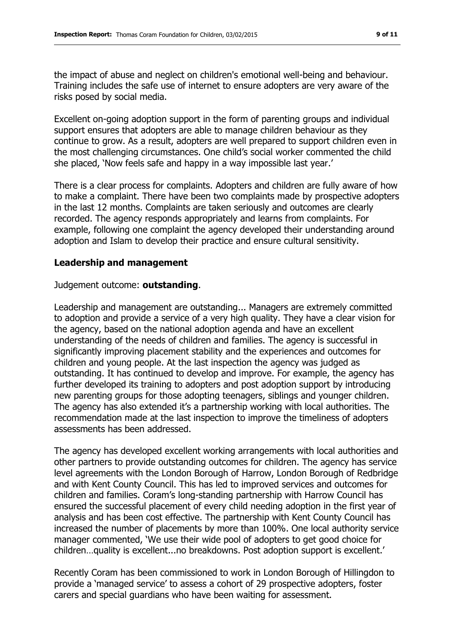the impact of abuse and neglect on children's emotional well-being and behaviour. Training includes the safe use of internet to ensure adopters are very aware of the risks posed by social media.

Excellent on-going adoption support in the form of parenting groups and individual support ensures that adopters are able to manage children behaviour as they continue to grow. As a result, adopters are well prepared to support children even in the most challenging circumstances. One child's social worker commented the child she placed, 'Now feels safe and happy in a way impossible last year.'

There is a clear process for complaints. Adopters and children are fully aware of how to make a complaint. There have been two complaints made by prospective adopters in the last 12 months. Complaints are taken seriously and outcomes are clearly recorded. The agency responds appropriately and learns from complaints. For example, following one complaint the agency developed their understanding around adoption and Islam to develop their practice and ensure cultural sensitivity.

#### **Leadership and management**

#### Judgement outcome: **outstanding**.

Leadership and management are outstanding... Managers are extremely committed to adoption and provide a service of a very high quality. They have a clear vision for the agency, based on the national adoption agenda and have an excellent understanding of the needs of children and families. The agency is successful in significantly improving placement stability and the experiences and outcomes for children and young people. At the last inspection the agency was judged as outstanding. It has continued to develop and improve. For example, the agency has further developed its training to adopters and post adoption support by introducing new parenting groups for those adopting teenagers, siblings and younger children. The agency has also extended it's a partnership working with local authorities. The recommendation made at the last inspection to improve the timeliness of adopters assessments has been addressed.

The agency has developed excellent working arrangements with local authorities and other partners to provide outstanding outcomes for children. The agency has service level agreements with the London Borough of Harrow, London Borough of Redbridge and with Kent County Council. This has led to improved services and outcomes for children and families. Coram's long-standing partnership with Harrow Council has ensured the successful placement of every child needing adoption in the first year of analysis and has been cost effective. The partnership with Kent County Council has increased the number of placements by more than 100%. One local authority service manager commented, 'We use their wide pool of adopters to get good choice for children…quality is excellent...no breakdowns. Post adoption support is excellent.'

Recently Coram has been commissioned to work in London Borough of Hillingdon to provide a 'managed service' to assess a cohort of 29 prospective adopters, foster carers and special guardians who have been waiting for assessment.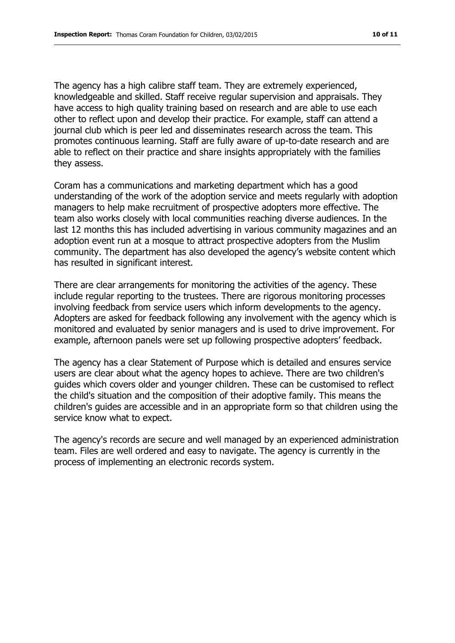The agency has a high calibre staff team. They are extremely experienced, knowledgeable and skilled. Staff receive regular supervision and appraisals. They have access to high quality training based on research and are able to use each other to reflect upon and develop their practice. For example, staff can attend a journal club which is peer led and disseminates research across the team. This promotes continuous learning. Staff are fully aware of up-to-date research and are able to reflect on their practice and share insights appropriately with the families they assess.

Coram has a communications and marketing department which has a good understanding of the work of the adoption service and meets regularly with adoption managers to help make recruitment of prospective adopters more effective. The team also works closely with local communities reaching diverse audiences. In the last 12 months this has included advertising in various community magazines and an adoption event run at a mosque to attract prospective adopters from the Muslim community. The department has also developed the agency's website content which has resulted in significant interest.

There are clear arrangements for monitoring the activities of the agency. These include regular reporting to the trustees. There are rigorous monitoring processes involving feedback from service users which inform developments to the agency. Adopters are asked for feedback following any involvement with the agency which is monitored and evaluated by senior managers and is used to drive improvement. For example, afternoon panels were set up following prospective adopters' feedback.

The agency has a clear Statement of Purpose which is detailed and ensures service users are clear about what the agency hopes to achieve. There are two children's guides which covers older and younger children. These can be customised to reflect the child's situation and the composition of their adoptive family. This means the children's guides are accessible and in an appropriate form so that children using the service know what to expect.

The agency's records are secure and well managed by an experienced administration team. Files are well ordered and easy to navigate. The agency is currently in the process of implementing an electronic records system.